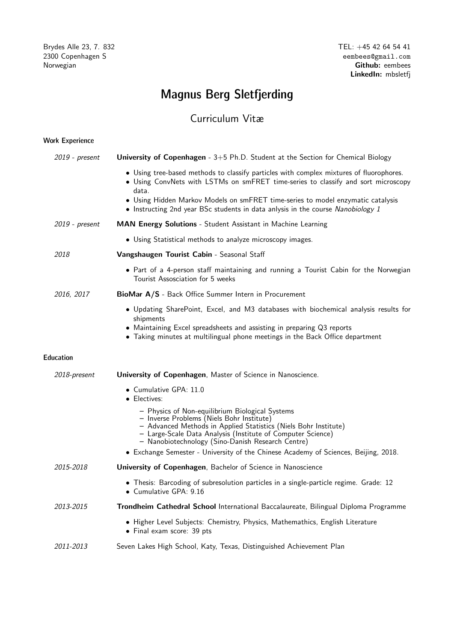# Magnus Berg Sletfjerding

## Curriculum Vitæ

### Work Experience

| 2019 - present      | University of Copenhagen - 3+5 Ph.D. Student at the Section for Chemical Biology                                                                                                                                                                                                    |
|---------------------|-------------------------------------------------------------------------------------------------------------------------------------------------------------------------------------------------------------------------------------------------------------------------------------|
|                     | • Using tree-based methods to classify particles with complex mixtures of fluorophores.<br>• Using ConvNets with LSTMs on smFRET time-series to classify and sort microscopy<br>data.                                                                                               |
|                     | • Using Hidden Markov Models on smFRET time-series to model enzymatic catalysis<br>• Instructing 2nd year BSc students in data anlysis in the course Nanobiology 1                                                                                                                  |
| 2019 - present      | MAN Energy Solutions - Student Assistant in Machine Learning                                                                                                                                                                                                                        |
|                     | • Using Statistical methods to analyze microscopy images.                                                                                                                                                                                                                           |
| 2018                | Vangshaugen Tourist Cabin - Seasonal Staff                                                                                                                                                                                                                                          |
|                     | • Part of a 4-person staff maintaining and running a Tourist Cabin for the Norwegian<br>Tourist Assosciation for 5 weeks                                                                                                                                                            |
| 2016, 2017          | BioMar A/S - Back Office Summer Intern in Procurement                                                                                                                                                                                                                               |
|                     | • Updating SharePoint, Excel, and M3 databases with biochemical analysis results for<br>shipments<br>• Maintaining Excel spreadsheets and assisting in preparing Q3 reports<br>• Taking minutes at multilingual phone meetings in the Back Office department                        |
| <b>Education</b>    |                                                                                                                                                                                                                                                                                     |
| <i>2018-present</i> | University of Copenhagen, Master of Science in Nanoscience.                                                                                                                                                                                                                         |
|                     | $\bullet$ Cumulative GPA: 11.0<br>• Electives:                                                                                                                                                                                                                                      |
|                     | - Physics of Non-equilibrium Biological Systems<br>- Inverse Problems (Niels Bohr Institute)<br>- Advanced Methods in Applied Statistics (Niels Bohr Institute)<br>- Large-Scale Data Analysis (Institute of Computer Science)<br>- Nanobiotechnology (Sino-Danish Research Centre) |
|                     | • Exchange Semester - University of the Chinese Academy of Sciences, Beijing, 2018.                                                                                                                                                                                                 |
| 2015-2018           | University of Copenhagen, Bachelor of Science in Nanoscience                                                                                                                                                                                                                        |
|                     | • Thesis: Barcoding of subresolution particles in a single-particle regime. Grade: 12<br>$\bullet$ Cumulative GPA: 9.16                                                                                                                                                             |
| 2013-2015           | Trondheim Cathedral School International Baccalaureate, Bilingual Diploma Programme                                                                                                                                                                                                 |
|                     | • Higher Level Subjects: Chemistry, Physics, Mathemathics, English Literature<br>$\bullet$ Final exam score: 39 pts                                                                                                                                                                 |
|                     |                                                                                                                                                                                                                                                                                     |